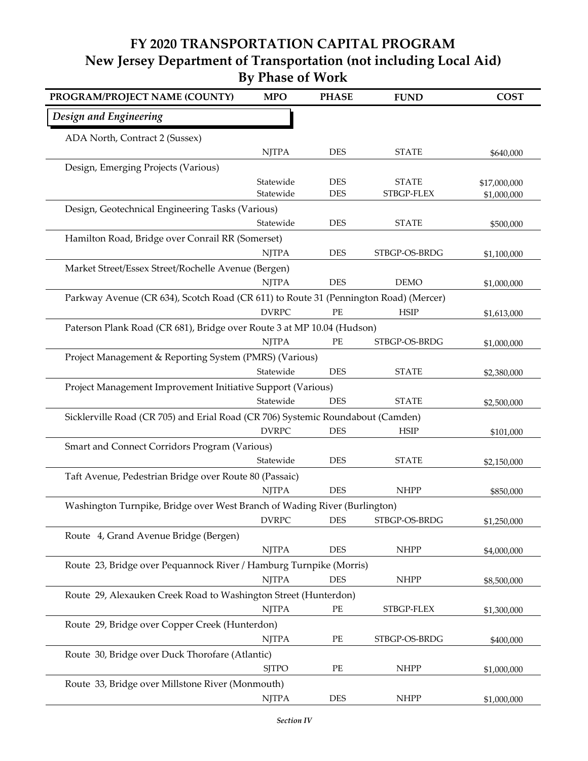## **FY 2020 TRANSPORTATION CAPITAL PROGRAM By Phase of Work New Jersey Department of Transportation (not including Local Aid)**

| PROGRAM/PROJECT NAME (COUNTY)                                                        | <b>MPO</b>   | <b>PHASE</b> | <b>FUND</b>   | <b>COST</b>  |
|--------------------------------------------------------------------------------------|--------------|--------------|---------------|--------------|
| Design and Engineering                                                               |              |              |               |              |
| ADA North, Contract 2 (Sussex)                                                       |              |              |               |              |
|                                                                                      | <b>NJTPA</b> | <b>DES</b>   | <b>STATE</b>  | \$640,000    |
| Design, Emerging Projects (Various)                                                  |              |              |               |              |
|                                                                                      | Statewide    | <b>DES</b>   | <b>STATE</b>  | \$17,000,000 |
|                                                                                      | Statewide    | <b>DES</b>   | STBGP-FLEX    | \$1,000,000  |
| Design, Geotechnical Engineering Tasks (Various)                                     |              |              |               |              |
|                                                                                      | Statewide    | <b>DES</b>   | <b>STATE</b>  | \$500,000    |
| Hamilton Road, Bridge over Conrail RR (Somerset)                                     |              |              |               |              |
|                                                                                      | <b>NJTPA</b> | <b>DES</b>   | STBGP-OS-BRDG | \$1,100,000  |
| Market Street/Essex Street/Rochelle Avenue (Bergen)                                  |              |              |               |              |
|                                                                                      | <b>NJTPA</b> | <b>DES</b>   | <b>DEMO</b>   | \$1,000,000  |
| Parkway Avenue (CR 634), Scotch Road (CR 611) to Route 31 (Pennington Road) (Mercer) |              |              |               |              |
|                                                                                      | <b>DVRPC</b> | PE           | <b>HSIP</b>   | \$1,613,000  |
| Paterson Plank Road (CR 681), Bridge over Route 3 at MP 10.04 (Hudson)               |              |              |               |              |
|                                                                                      | <b>NJTPA</b> | PE           | STBGP-OS-BRDG | \$1,000,000  |
| Project Management & Reporting System (PMRS) (Various)                               |              |              |               |              |
|                                                                                      | Statewide    | <b>DES</b>   | <b>STATE</b>  | \$2,380,000  |
| Project Management Improvement Initiative Support (Various)                          |              |              |               |              |
|                                                                                      | Statewide    | <b>DES</b>   | <b>STATE</b>  | \$2,500,000  |
| Sicklerville Road (CR 705) and Erial Road (CR 706) Systemic Roundabout (Camden)      |              |              |               |              |
|                                                                                      | <b>DVRPC</b> | <b>DES</b>   | <b>HSIP</b>   | \$101,000    |
| Smart and Connect Corridors Program (Various)                                        |              |              |               |              |
|                                                                                      | Statewide    | <b>DES</b>   | <b>STATE</b>  | \$2,150,000  |
| Taft Avenue, Pedestrian Bridge over Route 80 (Passaic)                               |              |              |               |              |
|                                                                                      | <b>NJTPA</b> | <b>DES</b>   | <b>NHPP</b>   | \$850,000    |
| Washington Turnpike, Bridge over West Branch of Wading River (Burlington)            |              |              |               |              |
|                                                                                      | DVRPC        | DES          | STBGP-OS-BRDG | \$1,250,000  |
| Route 4, Grand Avenue Bridge (Bergen)                                                |              |              |               |              |
|                                                                                      | <b>NJTPA</b> | <b>DES</b>   | <b>NHPP</b>   | \$4,000,000  |
| Route 23, Bridge over Pequannock River / Hamburg Turnpike (Morris)                   |              |              |               |              |
|                                                                                      | <b>NJTPA</b> | <b>DES</b>   | <b>NHPP</b>   | \$8,500,000  |
| Route 29, Alexauken Creek Road to Washington Street (Hunterdon)                      |              |              |               |              |
|                                                                                      | <b>NJTPA</b> | PE           | STBGP-FLEX    | \$1,300,000  |
| Route 29, Bridge over Copper Creek (Hunterdon)                                       |              |              |               |              |
|                                                                                      | <b>NJTPA</b> | PE           | STBGP-OS-BRDG | \$400,000    |
| Route 30, Bridge over Duck Thorofare (Atlantic)                                      |              |              |               |              |
|                                                                                      | <b>SJTPO</b> | PE           | <b>NHPP</b>   | \$1,000,000  |
| Route 33, Bridge over Millstone River (Monmouth)                                     |              |              |               |              |
|                                                                                      | <b>NJTPA</b> | <b>DES</b>   | <b>NHPP</b>   | \$1,000,000  |